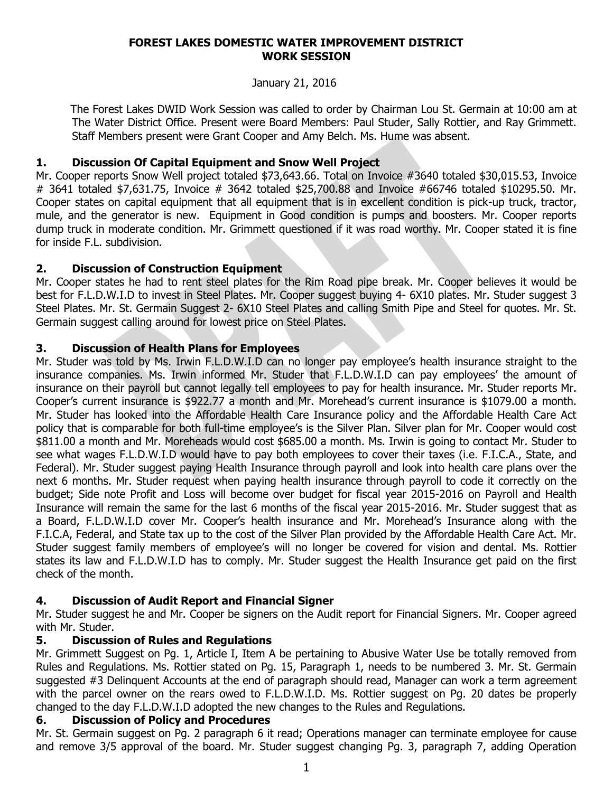#### **FOREST LAKES DOMESTIC WATER IMPROVEMENT DISTRICT WORK SESSION**

#### January 21, 2016

 The Forest Lakes DWID Work Session was called to order by Chairman Lou St. Germain at 10:00 am at The Water District Office. Present were Board Members: Paul Studer, Sally Rottier, and Ray Grimmett. Staff Members present were Grant Cooper and Amy Belch. Ms. Hume was absent.

### **1. Discussion Of Capital Equipment and Snow Well Project**

Mr. Cooper reports Snow Well project totaled \$73,643.66. Total on Invoice #3640 totaled \$30,015.53, Invoice # 3641 totaled \$7,631.75, Invoice # 3642 totaled \$25,700.88 and Invoice #66746 totaled \$10295.50. Mr. Cooper states on capital equipment that all equipment that is in excellent condition is pick-up truck, tractor, mule, and the generator is new. Equipment in Good condition is pumps and boosters. Mr. Cooper reports dump truck in moderate condition. Mr. Grimmett questioned if it was road worthy. Mr. Cooper stated it is fine for inside F.L. subdivision.

## **2. Discussion of Construction Equipment**

Mr. Cooper states he had to rent steel plates for the Rim Road pipe break. Mr. Cooper believes it would be best for F.L.D.W.I.D to invest in Steel Plates. Mr. Cooper suggest buying 4- 6X10 plates. Mr. Studer suggest 3 Steel Plates. Mr. St. Germain Suggest 2- 6X10 Steel Plates and calling Smith Pipe and Steel for quotes. Mr. St. Germain suggest calling around for lowest price on Steel Plates.

## **3. Discussion of Health Plans for Employees**

Mr. Studer was told by Ms. Irwin F.L.D.W.I.D can no longer pay employee's health insurance straight to the insurance companies. Ms. Irwin informed Mr. Studer that F.L.D.W.I.D can pay employees' the amount of insurance on their payroll but cannot legally tell employees to pay for health insurance. Mr. Studer reports Mr. Cooper's current insurance is \$922.77 a month and Mr. Morehead's current insurance is \$1079.00 a month. Mr. Studer has looked into the Affordable Health Care Insurance policy and the Affordable Health Care Act policy that is comparable for both full-time employee's is the Silver Plan. Silver plan for Mr. Cooper would cost \$811.00 a month and Mr. Moreheads would cost \$685.00 a month. Ms. Irwin is going to contact Mr. Studer to see what wages F.L.D.W.I.D would have to pay both employees to cover their taxes (i.e. F.I.C.A., State, and Federal). Mr. Studer suggest paying Health Insurance through payroll and look into health care plans over the next 6 months. Mr. Studer request when paying health insurance through payroll to code it correctly on the budget; Side note Profit and Loss will become over budget for fiscal year 2015-2016 on Payroll and Health Insurance will remain the same for the last 6 months of the fiscal year 2015-2016. Mr. Studer suggest that as a Board, F.L.D.W.I.D cover Mr. Cooper's health insurance and Mr. Morehead's Insurance along with the F.I.C.A, Federal, and State tax up to the cost of the Silver Plan provided by the Affordable Health Care Act. Mr. Studer suggest family members of employee's will no longer be covered for vision and dental. Ms. Rottier states its law and F.L.D.W.I.D has to comply. Mr. Studer suggest the Health Insurance get paid on the first check of the month.

# **4. Discussion of Audit Report and Financial Signer**

Mr. Studer suggest he and Mr. Cooper be signers on the Audit report for Financial Signers. Mr. Cooper agreed with Mr. Studer.

# **5. Discussion of Rules and Regulations**

Mr. Grimmett Suggest on Pg. 1, Article I, Item A be pertaining to Abusive Water Use be totally removed from Rules and Regulations. Ms. Rottier stated on Pg. 15, Paragraph 1, needs to be numbered 3. Mr. St. Germain suggested #3 Delinquent Accounts at the end of paragraph should read, Manager can work a term agreement with the parcel owner on the rears owed to F.L.D.W.I.D. Ms. Rottier suggest on Pg. 20 dates be properly changed to the day F.L.D.W.I.D adopted the new changes to the Rules and Regulations.

# **6. Discussion of Policy and Procedures**

Mr. St. Germain suggest on Pg. 2 paragraph 6 it read; Operations manager can terminate employee for cause and remove 3/5 approval of the board. Mr. Studer suggest changing Pg. 3, paragraph 7, adding Operation